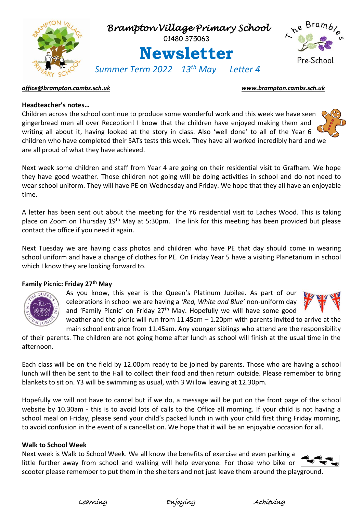

## *[office@brampton.cambs.sch.uk](mailto:office@brampton.cambs.sch.uk) [www.brampton.cambs.sch.uk](http://www.brampton.cambs.sch.uk/)*

## **Headteacher's notes…**

Children across the school continue to produce some wonderful work and this week we have seen gingerbread men all over Reception! I know that the children have enjoyed making them and writing all about it, having looked at the story in class. Also 'well done' to all of the Year 6 children who have completed their SATs tests this week. They have all worked incredibly hard and we are all proud of what they have achieved.

Next week some children and staff from Year 4 are going on their residential visit to Grafham. We hope they have good weather. Those children not going will be doing activities in school and do not need to wear school uniform. They will have PE on Wednesday and Friday. We hope that they all have an enjoyable time.

A letter has been sent out about the meeting for the Y6 residential visit to Laches Wood. This is taking place on Zoom on Thursday 19th May at 5:30pm. The link for this meeting has been provided but please contact the office if you need it again.

Next Tuesday we are having class photos and children who have PE that day should come in wearing school uniform and have a change of clothes for PE. On Friday Year 5 have a visiting Planetarium in school which I know they are looking forward to.

## **Family Picnic: Friday 27th May**



As you know, this year is the Queen's Platinum Jubilee. As part of our celebrations in school we are having a *'Red, White and Blue'* non-uniform day and 'Family Picnic' on Friday 27<sup>th</sup> May. Hopefully we will have some good weather and the picnic will run from 11.45am – 1.20pm with parents invited to arrive at the



main school entrance from 11.45am. Any younger siblings who attend are the responsibility of their parents. The children are not going home after lunch as school will finish at the usual time in the afternoon.

Each class will be on the field by 12.00pm ready to be joined by parents. Those who are having a school lunch will then be sent to the Hall to collect their food and then return outside. Please remember to bring blankets to sit on. Y3 will be swimming as usual, with 3 Willow leaving at 12.30pm.

Hopefully we will not have to cancel but if we do, a message will be put on the front page of the school website by 10.30am - this is to avoid lots of calls to the Office all morning. If your child is not having a school meal on Friday, please send your child's packed lunch in with your child first thing Friday morning, to avoid confusion in the event of a cancellation. We hope that it will be an enjoyable occasion for all.

### **Walk to School Week**

Next week is Walk to School Week. We all know the benefits of exercise and even parking a little further away from school and walking will help everyone. For those who bike or scooter please remember to put them in the shelters and not just leave them around the playground.